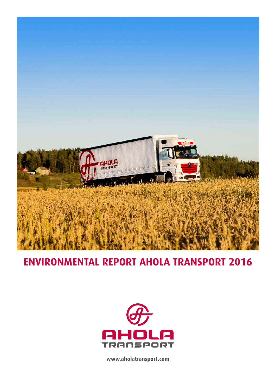

# **ENVIRONMENTAL REPORT AHOLA TRANSPORT 2016**



**www.aholatransport.com**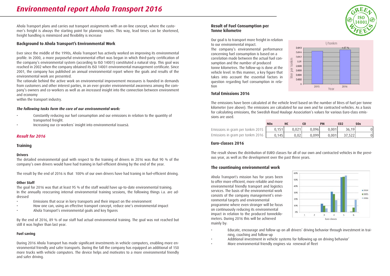Ahola Transport plans and carries out transport assignments with an on-line concept, where the customer's freight is always the starting point for planning routes. This way, lead times can be shortened, freight handling is minimized and flexibility is increase

#### **Background to Ahola Transport's Environmental Work**

Ever since the middle of the 1990s, Ahola Transport has actively worked on improving its environmental profile. In 2000, a more purposeful environmental effort was begun in which third-party certification of the company's environmental system (according to ISO 14001) constituted a natural step. This goal was reached in 2002 when the company obtained its ISO 14001 environmental management certificate. Since 2001, the company has published an annual environmental report where the goals and results of the environmental work are presented.

The rationale behind the active work on environmental improvement measures is founded in demands from customers and other interest parties, in an ever greater environmental awareness among the company's owners and co-workers as well as an increased insight into the connection between environment and economy

within the transport industry.

#### *The following tasks form the core of our environmental work:*

- Constantly reducing our fuel consumption and our emissions in relation to the quantity of transported freight.
- Increasing our co-workers´ insight into environmental issuesä.

# *Result for 2016*

**Training**

#### **Drivers**

The detailed environmental goal with respect to the training of drivers in 2016 was that 90 % of the company's own drivers would have had training in fuel-efficient driving by the end of the year.

The result by the end of 2016 is that 100% of our own drivers have had traning in fuel-efficient driving.

#### **Other Staff**

The goal for 2016 was that at least 95 % of the staff would have up-to-date environmental training. In the annually reoccurring internal environmental training sessions, the following things i.a. are addressed

- Emissions that occur in lorry transports and their impact on the environment
- How one can, using an effective transport concept, reduce one's environmental impact
- Ahola Transport's environmental goals and key figures

By the end of 2016, 89 % of our staff had actual environmental training. The goal was not reached but still it was higher than last year.

#### **Fuel saving**

During 2016 Ahola Transport has made significant investments in vehicle computers, enabling more environmental friendly and safer transports. During the fall the company has equipped an additional of 150 more trucks with vehicle computers. The device helps and motivates to a more environmental friendly and safer driving.

#### **Result of Fuel Consumption per Tonne kilometre**

Our goal is to transport more freight in relation to our environmental impact. The company's environmental performance concerning fuel consumption is based on a correlation made between the actual fuel consumption and the number of produced tonne kilometres. The follow-up is done at the vehicle level. In this manner, a key figure that takes into account the essential factors in question regarding fuel consumption in relation



## **Total Emissions 2016**

The emissions have been calculated at the vehicle level based on the number of litres of fuel per tonne kilometer (see above). The emissions are calculated for our own and for contracted vehicles. As a basis for calculating emissions, the Swedish Road Haulage Association's values for various Euro-class emissions are used.

|                                  | <b>NO</b> <sub>x</sub> |       |       | <b>PM</b> | CO 2   | <b>SOx</b> |
|----------------------------------|------------------------|-------|-------|-----------|--------|------------|
| Emissions in gram per tonkm 2015 | 0.151                  | 0.021 | 0.096 | 0.001     | 36.19  |            |
| Emissions in gram per tonkm 2016 | 0.145                  | 0.02  | 0.099 | 0.001     | 37.522 |            |

## **Euro-classes 2016**

The result shows the distribution of EURO classes for all of our own and contracted vehicles in the previous year, as well as the development over the past three years.

#### **The countinuing environmental work**

Ahola Transport´s mission has for years been to offer more efficient, more reliable and more environmental friendly transport and logistics services. The basis of the environmental work consists of the company management's environmental targets and environmental programme where even stronger will be focus on continuously reducing its environmental impact in relation to the produced tonnekilometers. During 2016 this will be achieved mainly by:



- Educate, encourage and follow up on all drivers' driving behavior through investment in training, coaching and follow-up
- Additional investment in vehicle systems for following up on driving behavior'
- More environmental friendly engines via renewal of fleet